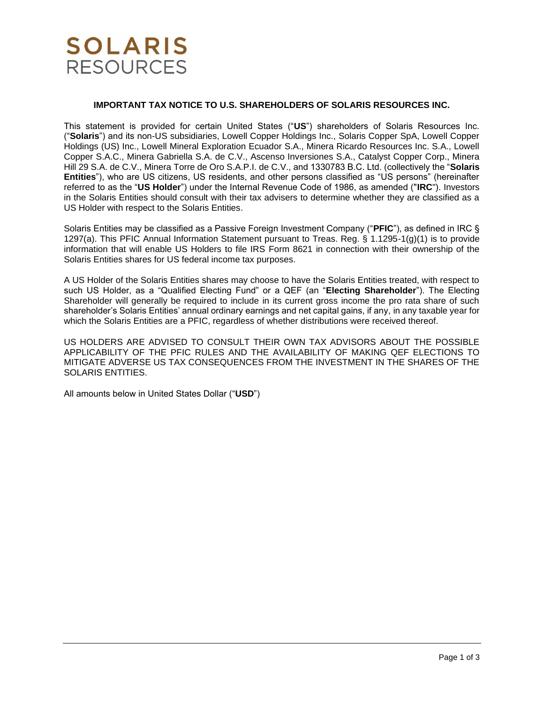## **SOLARIS RESOURCES**

### **IMPORTANT TAX NOTICE TO U.S. SHAREHOLDERS OF SOLARIS RESOURCES INC.**

This statement is provided for certain United States ("**US**") shareholders of Solaris Resources Inc. ("**Solaris**") and its non-US subsidiaries, Lowell Copper Holdings Inc., Solaris Copper SpA, Lowell Copper Holdings (US) Inc., Lowell Mineral Exploration Ecuador S.A., Minera Ricardo Resources Inc. S.A., Lowell Copper S.A.C., Minera Gabriella S.A. de C.V., Ascenso Inversiones S.A., Catalyst Copper Corp., Minera Hill 29 S.A. de C.V., Minera Torre de Oro S.A.P.I. de C.V., and 1330783 B.C. Ltd. (collectively the "**Solaris Entities**"), who are US citizens, US residents, and other persons classified as "US persons" (hereinafter referred to as the "**US Holder**") under the Internal Revenue Code of 1986, as amended ("**IRC**"). Investors in the Solaris Entities should consult with their tax advisers to determine whether they are classified as a US Holder with respect to the Solaris Entities.

Solaris Entities may be classified as a Passive Foreign Investment Company ("**PFIC**"), as defined in IRC § 1297(a). This PFIC Annual Information Statement pursuant to Treas. Reg. § 1.1295-1(g)(1) is to provide information that will enable US Holders to file IRS Form 8621 in connection with their ownership of the Solaris Entities shares for US federal income tax purposes.

A US Holder of the Solaris Entities shares may choose to have the Solaris Entities treated, with respect to such US Holder, as a "Qualified Electing Fund" or a QEF (an "**Electing Shareholder**"). The Electing Shareholder will generally be required to include in its current gross income the pro rata share of such shareholder's Solaris Entities' annual ordinary earnings and net capital gains, if any, in any taxable year for which the Solaris Entities are a PFIC, regardless of whether distributions were received thereof.

US HOLDERS ARE ADVISED TO CONSULT THEIR OWN TAX ADVISORS ABOUT THE POSSIBLE APPLICABILITY OF THE PFIC RULES AND THE AVAILABILITY OF MAKING QEF ELECTIONS TO MITIGATE ADVERSE US TAX CONSEQUENCES FROM THE INVESTMENT IN THE SHARES OF THE SOLARIS ENTITIES.

All amounts below in United States Dollar ("**USD**")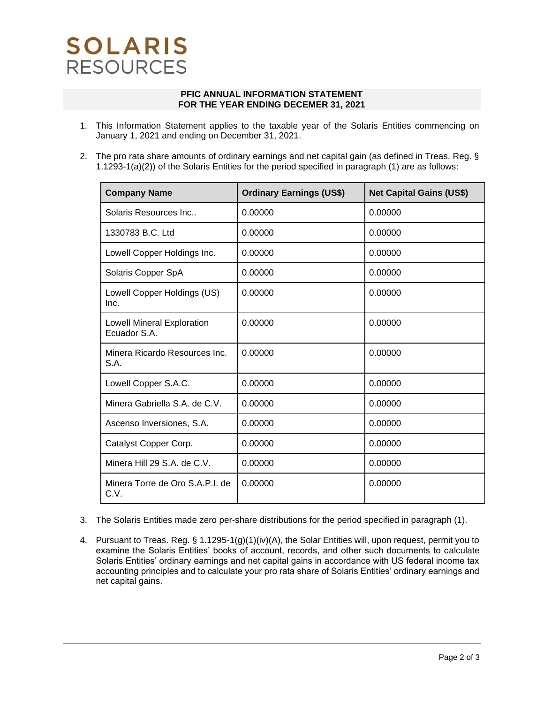# **SOLARIS RESOURCES**

#### **PFIC ANNUAL INFORMATION STATEMENT FOR THE YEAR ENDING DECEMER 31, 2021**

- 1. This Information Statement applies to the taxable year of the Solaris Entities commencing on January 1, 2021 and ending on December 31, 2021.
- 2. The pro rata share amounts of ordinary earnings and net capital gain (as defined in Treas. Reg. § 1.1293-1(a)(2)) of the Solaris Entities for the period specified in paragraph (1) are as follows:

| <b>Company Name</b>                               | <b>Ordinary Earnings (US\$)</b> | <b>Net Capital Gains (US\$)</b> |
|---------------------------------------------------|---------------------------------|---------------------------------|
| Solaris Resources Inc                             | 0.00000                         | 0.00000                         |
| 1330783 B.C. Ltd                                  | 0.00000                         | 0.00000                         |
| Lowell Copper Holdings Inc.                       | 0.00000                         | 0.00000                         |
| Solaris Copper SpA                                | 0.00000                         | 0.00000                         |
| Lowell Copper Holdings (US)<br>Inc.               | 0.00000                         | 0.00000                         |
| <b>Lowell Mineral Exploration</b><br>Ecuador S.A. | 0.00000                         | 0.00000                         |
| Minera Ricardo Resources Inc.<br>S.A.             | 0.00000                         | 0.00000                         |
| Lowell Copper S.A.C.                              | 0.00000                         | 0.00000                         |
| Minera Gabriella S.A. de C.V.                     | 0.00000                         | 0.00000                         |
| Ascenso Inversiones, S.A.                         | 0.00000                         | 0.00000                         |
| Catalyst Copper Corp.                             | 0.00000                         | 0.00000                         |
| Minera Hill 29 S.A. de C.V.                       | 0.00000                         | 0.00000                         |
| Minera Torre de Oro S.A.P.I. de<br>C.V.           | 0.00000                         | 0.00000                         |

- 3. The Solaris Entities made zero per-share distributions for the period specified in paragraph (1).
- 4. Pursuant to Treas. Reg. § 1.1295-1(g)(1)(iv)(A), the Solar Entities will, upon request, permit you to examine the Solaris Entities' books of account, records, and other such documents to calculate Solaris Entities' ordinary earnings and net capital gains in accordance with US federal income tax accounting principles and to calculate your pro rata share of Solaris Entities' ordinary earnings and net capital gains.